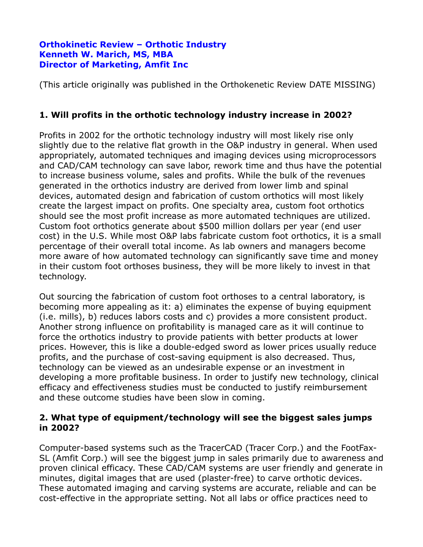### **Orthokinetic Review – Orthotic Industry Kenneth W. Marich, MS, MBA Director of Marketing, Amfit Inc**

(This article originally was published in the Orthokenetic Review DATE MISSING)

# **1. Will profits in the orthotic technology industry increase in 2002?**

Profits in 2002 for the orthotic technology industry will most likely rise only slightly due to the relative flat growth in the O&P industry in general. When used appropriately, automated techniques and imaging devices using microprocessors and CAD/CAM technology can save labor, rework time and thus have the potential to increase business volume, sales and profits. While the bulk of the revenues generated in the orthotics industry are derived from lower limb and spinal devices, automated design and fabrication of custom orthotics will most likely create the largest impact on profits. One specialty area, custom foot orthotics should see the most profit increase as more automated techniques are utilized. Custom foot orthotics generate about \$500 million dollars per year (end user cost) in the U.S. While most O&P labs fabricate custom foot orthotics, it is a small percentage of their overall total income. As lab owners and managers become more aware of how automated technology can significantly save time and money in their custom foot orthoses business, they will be more likely to invest in that technology.

Out sourcing the fabrication of custom foot orthoses to a central laboratory, is becoming more appealing as it: a) eliminates the expense of buying equipment (i.e. mills), b) reduces labors costs and c) provides a more consistent product. Another strong influence on profitability is managed care as it will continue to force the orthotics industry to provide patients with better products at lower prices. However, this is like a double-edged sword as lower prices usually reduce profits, and the purchase of cost-saving equipment is also decreased. Thus, technology can be viewed as an undesirable expense or an investment in developing a more profitable business. In order to justify new technology, clinical efficacy and effectiveness studies must be conducted to justify reimbursement and these outcome studies have been slow in coming.

### **2. What type of equipment/technology will see the biggest sales jumps in 2002?**

Computer-based systems such as the TracerCAD (Tracer Corp.) and the FootFax-SL (Amfit Corp.) will see the biggest jump in sales primarily due to awareness and proven clinical efficacy. These CAD/CAM systems are user friendly and generate in minutes, digital images that are used (plaster-free) to carve orthotic devices. These automated imaging and carving systems are accurate, reliable and can be cost-effective in the appropriate setting. Not all labs or office practices need to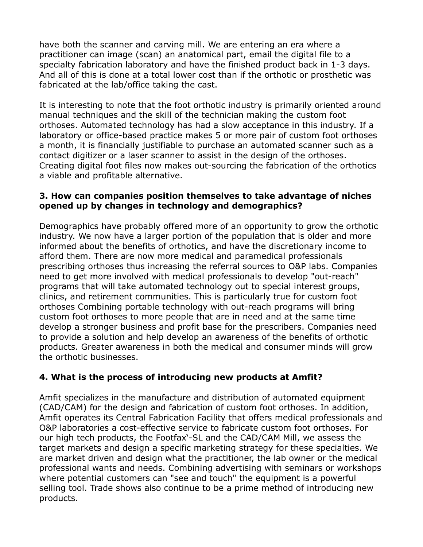have both the scanner and carving mill. We are entering an era where a practitioner can image (scan) an anatomical part, email the digital file to a specialty fabrication laboratory and have the finished product back in 1-3 days. And all of this is done at a total lower cost than if the orthotic or prosthetic was fabricated at the lab/office taking the cast.

It is interesting to note that the foot orthotic industry is primarily oriented around manual techniques and the skill of the technician making the custom foot orthoses. Automated technology has had a slow acceptance in this industry. If a laboratory or office-based practice makes 5 or more pair of custom foot orthoses a month, it is financially justifiable to purchase an automated scanner such as a contact digitizer or a laser scanner to assist in the design of the orthoses. Creating digital foot files now makes out-sourcing the fabrication of the orthotics a viable and profitable alternative.

#### **3. How can companies position themselves to take advantage of niches opened up by changes in technology and demographics?**

Demographics have probably offered more of an opportunity to grow the orthotic industry. We now have a larger portion of the population that is older and more informed about the benefits of orthotics, and have the discretionary income to afford them. There are now more medical and paramedical professionals prescribing orthoses thus increasing the referral sources to O&P labs. Companies need to get more involved with medical professionals to develop "out-reach" programs that will take automated technology out to special interest groups, clinics, and retirement communities. This is particularly true for custom foot orthoses Combining portable technology with out-reach programs will bring custom foot orthoses to more people that are in need and at the same time develop a stronger business and profit base for the prescribers. Companies need to provide a solution and help develop an awareness of the benefits of orthotic products. Greater awareness in both the medical and consumer minds will grow the orthotic businesses.

## **4. What is the process of introducing new products at Amfit?**

Amfit specializes in the manufacture and distribution of automated equipment (CAD/CAM) for the design and fabrication of custom foot orthoses. In addition, Amfit operates its Central Fabrication Facility that offers medical professionals and O&P laboratories a cost-effective service to fabricate custom foot orthoses. For our high tech products, the Footfax'-SL and the CAD/CAM Mill, we assess the target markets and design a specific marketing strategy for these specialties. We are market driven and design what the practitioner, the lab owner or the medical professional wants and needs. Combining advertising with seminars or workshops where potential customers can "see and touch" the equipment is a powerful selling tool. Trade shows also continue to be a prime method of introducing new products.